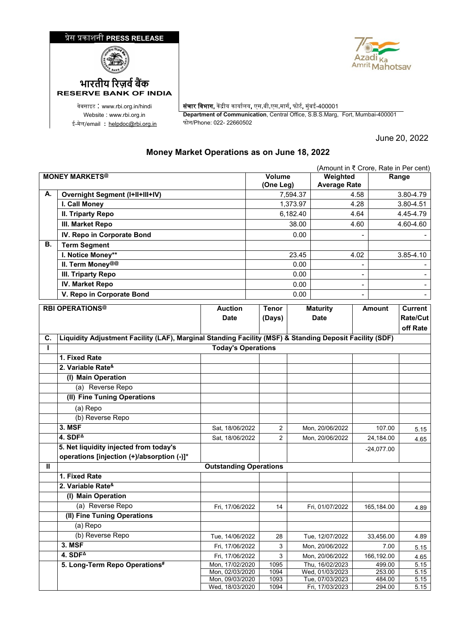## �ेस �काशनी **PRESS RELEASE**





ई-मेल/email : <u>[helpdoc@rbi.org.in](mailto:helpdoc@rbi.org.in)</u>

**RESERVE BANK OF INDIA**

वेबसाइट : www.rbi.org.in/hindi <mark>| संचार विभाग,</mark> केंद्रीय कार्यालय, एस.बी.एस.मार्ग, फोर्ट, मुंबई-400001 Website : www.rbi.org.in **Department of Communication**, Central Office, S.B.S.Marg, Fort, Mumbai-400001

June 20, 2022

## **Money Market Operations as on June 18, 2022**

|                       | (Amount in ₹ Crore, Rate in Per cent)                                                                   |                                    |       |                     |          |                                    |        |                  |                 |
|-----------------------|---------------------------------------------------------------------------------------------------------|------------------------------------|-------|---------------------|----------|------------------------------------|--------|------------------|-----------------|
| <b>MONEY MARKETS®</b> |                                                                                                         |                                    |       | Volume<br>(One Leg) |          | Weighted<br><b>Average Rate</b>    |        | Range            |                 |
| А.                    | <b>Overnight Segment (I+II+III+IV)</b>                                                                  |                                    |       |                     | 7,594.37 | 4.58                               |        |                  | 3.80-4.79       |
|                       | I. Call Money                                                                                           |                                    |       | 1,373.97            |          | 4.28                               |        | 3.80-4.51        |                 |
|                       | <b>II. Triparty Repo</b>                                                                                |                                    |       | 6,182.40            |          | 4.64                               |        | 4.45-4.79        |                 |
|                       | III. Market Repo                                                                                        |                                    |       | 38.00               |          | 4.60                               |        | 4.60-4.60        |                 |
|                       | IV. Repo in Corporate Bond                                                                              |                                    |       |                     | 0.00     |                                    |        |                  |                 |
| В.                    | <b>Term Segment</b>                                                                                     |                                    |       |                     |          |                                    |        |                  |                 |
|                       | I. Notice Money**                                                                                       |                                    |       |                     | 23.45    |                                    | 4.02   |                  | 3.85-4.10       |
|                       | II. Term Money@@                                                                                        |                                    |       |                     | 0.00     |                                    |        |                  |                 |
|                       | III. Triparty Repo                                                                                      |                                    |       | 0.00                |          |                                    |        |                  |                 |
|                       | <b>IV. Market Repo</b>                                                                                  |                                    |       |                     | 0.00     |                                    |        |                  |                 |
|                       | V. Repo in Corporate Bond                                                                               |                                    |       |                     | 0.00     |                                    |        |                  |                 |
|                       | <b>RBI OPERATIONS®</b>                                                                                  | <b>Auction</b>                     | Tenor |                     |          | <b>Maturity</b>                    |        | <b>Amount</b>    | <b>Current</b>  |
|                       |                                                                                                         | <b>Date</b>                        |       | (Days)              |          | <b>Date</b>                        |        |                  | <b>Rate/Cut</b> |
|                       |                                                                                                         |                                    |       |                     |          |                                    |        |                  | off Rate        |
| С.                    | Liquidity Adjustment Facility (LAF), Marginal Standing Facility (MSF) & Standing Deposit Facility (SDF) |                                    |       |                     |          |                                    |        |                  |                 |
| L                     |                                                                                                         | <b>Today's Operations</b>          |       |                     |          |                                    |        |                  |                 |
|                       | 1. Fixed Rate                                                                                           |                                    |       |                     |          |                                    |        |                  |                 |
|                       | 2. Variable Rate <sup>&amp;</sup>                                                                       |                                    |       |                     |          |                                    |        |                  |                 |
|                       | (I) Main Operation                                                                                      |                                    |       |                     |          |                                    |        |                  |                 |
|                       | (a) Reverse Repo                                                                                        |                                    |       |                     |          |                                    |        |                  |                 |
|                       | (II) Fine Tuning Operations                                                                             |                                    |       |                     |          |                                    |        |                  |                 |
|                       | (a) Repo                                                                                                |                                    |       |                     |          |                                    |        |                  |                 |
|                       | (b) Reverse Repo                                                                                        |                                    |       |                     |          |                                    |        |                  |                 |
|                       | 3. MSF                                                                                                  | Sat, 18/06/2022                    |       | 2                   |          | Mon, 20/06/2022                    | 107.00 |                  | 5.15            |
|                       | 4. $SDF4$                                                                                               | Sat, 18/06/2022                    |       | 2                   |          | Mon, 20/06/2022                    |        | 24,184.00        | 4.65            |
|                       | 5. Net liquidity injected from today's                                                                  |                                    |       |                     |          |                                    |        | $-24,077.00$     |                 |
|                       | operations [injection (+)/absorption (-)]*                                                              |                                    |       |                     |          |                                    |        |                  |                 |
| Ш                     |                                                                                                         | <b>Outstanding Operations</b>      |       |                     |          |                                    |        |                  |                 |
|                       | 1. Fixed Rate                                                                                           |                                    |       |                     |          |                                    |        |                  |                 |
|                       | 2. Variable Rate <sup>&amp;</sup>                                                                       |                                    |       |                     |          |                                    |        |                  |                 |
|                       | (I) Main Operation                                                                                      |                                    |       |                     |          |                                    |        |                  |                 |
|                       | (a) Reverse Repo                                                                                        | Fri, 17/06/2022                    |       | 14                  |          | Fri, 01/07/2022                    |        | 165,184.00       | 4.89            |
|                       | (II) Fine Tuning Operations                                                                             |                                    |       |                     |          |                                    |        |                  |                 |
|                       | (a) Repo                                                                                                |                                    |       |                     |          |                                    |        |                  |                 |
|                       | (b) Reverse Repo                                                                                        | Tue, 14/06/2022                    |       | 28                  |          | Tue, 12/07/2022                    |        | 33,456.00        | 4.89            |
|                       | 3. MSF                                                                                                  | Fri, 17/06/2022                    |       | 3                   |          | Mon, 20/06/2022                    |        | 7.00             | 5.15            |
|                       | $4.$ SDF <sup><math>\triangle</math></sup>                                                              | Fri, 17/06/2022                    |       | 3                   |          | Mon, 20/06/2022                    |        | 166,192.00       | 4.65            |
|                       | 5. Long-Term Repo Operations#                                                                           | Mon, 17/02/2020                    |       | 1095                |          | Thu, 16/02/2023                    |        | 499.00           | 5.15            |
|                       |                                                                                                         | Mon, 02/03/2020<br>Mon, 09/03/2020 |       | 1094<br>1093        |          | Wed, 01/03/2023<br>Tue, 07/03/2023 |        | 253.00<br>484.00 | 5.15<br>5.15    |
|                       |                                                                                                         | Wed, 18/03/2020                    |       | 1094                |          | Fri, 17/03/2023                    |        | 294.00           | 5.15            |